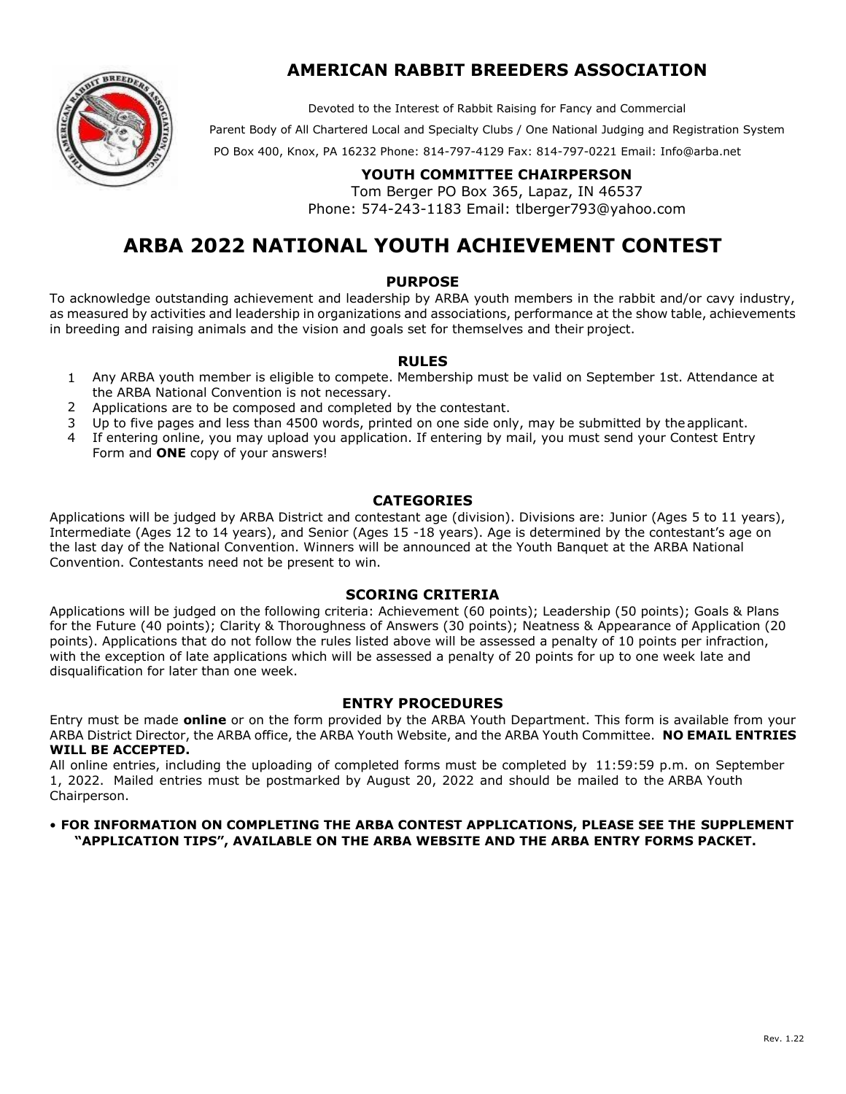### **AMERICAN RABBIT BREEDERS ASSOCIATION**

Devoted to the Interest of Rabbit Raising for Fancy and Commercial

Parent Body of All Chartered Local and Specialty Clubs / One National Judging and Registration System



PO Box 400, Knox, PA 16232 Phone: 814-797-4129 Fax: 814-797-0221 Email: Info@[arba.net](mailto:Info@arba.net) 

#### **YOUTH COMMITTEE CHAIRPERSON**

Tom Berger PO Box 365, Lapaz, IN 46537 Phone: 574-243-1183 Email: tlbe[rger793@yahoo.c](mailto:youth@arba.net)om

## **ARBA 2022 NATIONAL YOUTH ACHIEVEMENT CONTEST**

#### **PURPOSE**

To acknowledge outstanding achievement and leadership by ARBA youth members in the rabbit and/or cavy industry, as measured by activities and leadership in organizations and associations, performance at the show table, achievements in breeding and raising animals and the vision and goals set for themselves and their project.

#### **RULES**

- 1 Any ARBA youth member is eligible to compete. Membership must be valid on September 1st. Attendance at the ARBA National Convention is not necessary.
- 2 Applications are to be composed and completed by the contestant.
- 3 Up to five pages and less than 4500 words, printed on one side only, may be submitted by the applicant.
- 4 If entering online, you may upload you application. If entering by mail, you must send your Contest Entry Form and **ONE** copy of your answers!

#### **CATEGORIES**

Applications will be judged by ARBA District and contestant age (division). Divisions are: Junior (Ages 5 to 11 years), Intermediate (Ages 12 to 14 years), and Senior (Ages 15 -18 years). Age is determined by the contestant's age on the last day of the National Convention. Winners will be announced at the Youth Banquet at the ARBA National Convention. Contestants need not be present to win.

#### **SCORING CRITERIA**

Applications will be judged on the following criteria: Achievement (60 points); Leadership (50 points); Goals & Plans for the Future (40 points); Clarity & Thoroughness of Answers (30 points); Neatness & Appearance of Application (20 points). Applications that do not follow the rules listed above will be assessed a penalty of 10 points per infraction, with the exception of late applications which will be assessed a penalty of 20 points for up to one week late and disqualification for later than one week.

#### **ENTRY PROCEDURES**

Entry must be made **online** or on the form provided by the ARBA Youth Department. This form is available from your ARBA District Director, the ARBA office, the ARBA Youth Website, and the ARBA Youth Committee. **NO EMAIL ENTRIES WILL BE ACCEPTED.** 

All online entries, including the uploading of completed forms must be completed by 11:59:59 p.m. on September 1, 2022. Mailed entries must be postmarked by August 20, 2022 and should be mailed to the ARBA Youth Chairperson.

#### • **FOR INFORMATION ON COMPLETING THE ARBA CONTEST APPLICATIONS, PLEASE SEE THE SUPPLEMENT "APPLICATION TIPS", AVAILABLE ON THE ARBA WEBSITE AND THE ARBA ENTRY FORMS PACKET.**